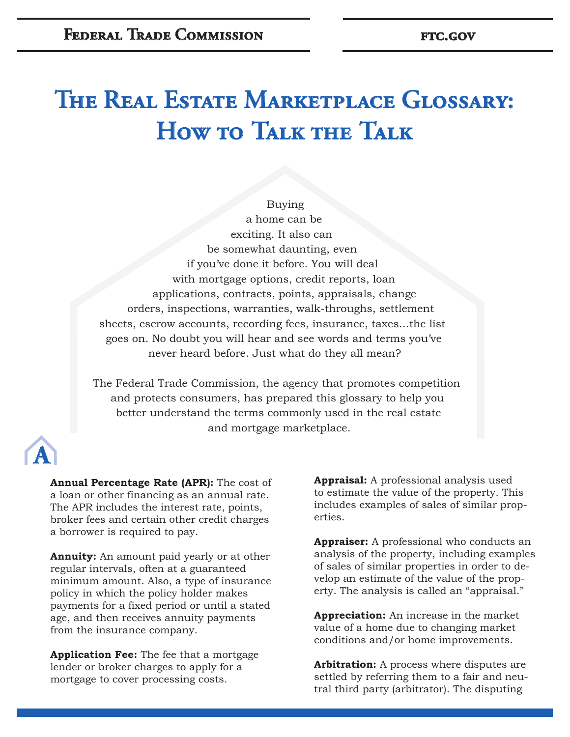# **The Real Estate Marketplace Glossary: How to Talk the Talk**

#### Buying

a home can be exciting. It also can be somewhat daunting, even if you've done it before. You will deal with mortgage options, credit reports, loan applications, contracts, points, appraisals, change orders, inspections, warranties, walk-throughs, settlement sheets, escrow accounts, recording fees, insurance, taxes...the list goes on. No doubt you will hear and see words and terms you've never heard before. Just what do they all mean?

The Federal Trade Commission, the agency that promotes competition and protects consumers, has prepared this glossary to help you better understand the terms commonly used in the real estate and mortgage marketplace.

# a loan or other financing as an annual rate.<br>The APR includes the interest rate points includes examples of sales of similar prop-The APR includes the interest rate, points, includes the interest rate, points, includes  $r_{\text{rel}}$  sales of similar properties. broker fees and certain other credit charges. a borrower is required to pay.

**A**

regular intervals, often at a guaranteed of sales of similar properties in order to deminimum amount. Also, a type of insurance velop an estimate of the value of the prop-<br>nolicy in which the policy holder makes erty. The analysis is called an "appraisal." policy in which the policy holder makes payments for a fixed period or until a stated age, and then receives annuity payments **Appreciation:** An increase in the market from the insurance company. value of a home due to changing market

**Application Fee:** The fee that a mortgage **Arbitration:** A process where disputes are lender or broker charges to apply for a **Arbitration:** A process where disputes are

**Annual Percentage Rate (APR):** The cost of **Appraisal:** A professional analysis used<br>a loan or other financing as an annual rate to estimate the value of the property. This

**Appraiser:** A professional who conducts an **Annuity:** An amount paid yearly or at other analysis of the property, including examples<br>regular intervals often at a guaranteed of sales of similar properties in order to de-

conditions and/or home improvements.

mortgage to cover processing costs. settled by referring them to a fair and neutral third party (arbitrator). The disputing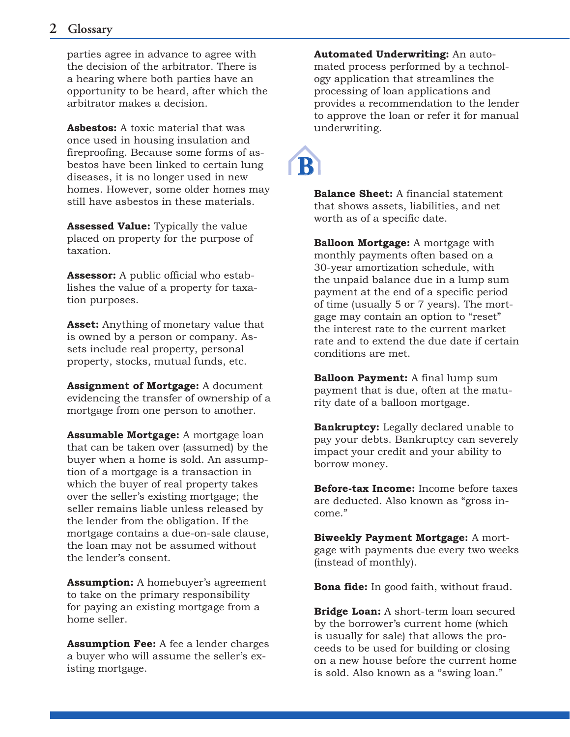parties agree in advance to agree with the decision of the arbitrator. There is a hearing where both parties have an opportunity to be heard, after which the arbitrator makes a decision.

**Asbestos:** A toxic material that was once used in housing insulation and fireproofing. Because some forms of asbestos have been linked to certain lung diseases, it is no longer used in new homes. However, some older homes may still have asbestos in these materials.

**Assessed Value:** Typically the value placed on property for the purpose of taxation.

**Assessor:** A public official who establishes the value of a property for taxation purposes.

**Asset:** Anything of monetary value that is owned by a person or company. Assets include real property, personal property, stocks, mutual funds, etc.

**Assignment of Mortgage:** A document evidencing the transfer of ownership of a mortgage from one person to another.

**Assumable Mortgage:** A mortgage loan that can be taken over (assumed) by the buyer when a home is sold. An assumption of a mortgage is a transaction in which the buyer of real property takes over the seller's existing mortgage; the seller remains liable unless released by the lender from the obligation. If the mortgage contains a due-on-sale clause, the loan may not be assumed without the lender's consent.

**Assumption:** A homebuyer's agreement to take on the primary responsibility for paying an existing mortgage from a home seller.

**Assumption Fee:** A fee a lender charges a buyer who will assume the seller's existing mortgage.

**Automated Underwriting:** An automated process performed by a technology application that streamlines the processing of loan applications and provides a recommendation to the lender to approve the loan or refer it for manual underwriting.

**B**

**Balance Sheet:** A financial statement that shows assets, liabilities, and net worth as of a specific date.

**Balloon Mortgage:** A mortgage with monthly payments often based on a 30-year amortization schedule, with the unpaid balance due in a lump sum payment at the end of a specific period of time (usually 5 or 7 years). The mortgage may contain an option to "reset" the interest rate to the current market rate and to extend the due date if certain conditions are met.

**Balloon Payment:** A final lump sum payment that is due, often at the maturity date of a balloon mortgage.

**Bankruptcy:** Legally declared unable to pay your debts. Bankruptcy can severely impact your credit and your ability to borrow money.

**Before-tax Income:** Income before taxes are deducted. Also known as "gross income."

**Biweekly Payment Mortgage:** A mortgage with payments due every two weeks (instead of monthly).

**Bona fide:** In good faith, without fraud.

**Bridge Loan:** A short-term loan secured by the borrower's current home (which is usually for sale) that allows the proceeds to be used for building or closing on a new house before the current home is sold. Also known as a "swing loan."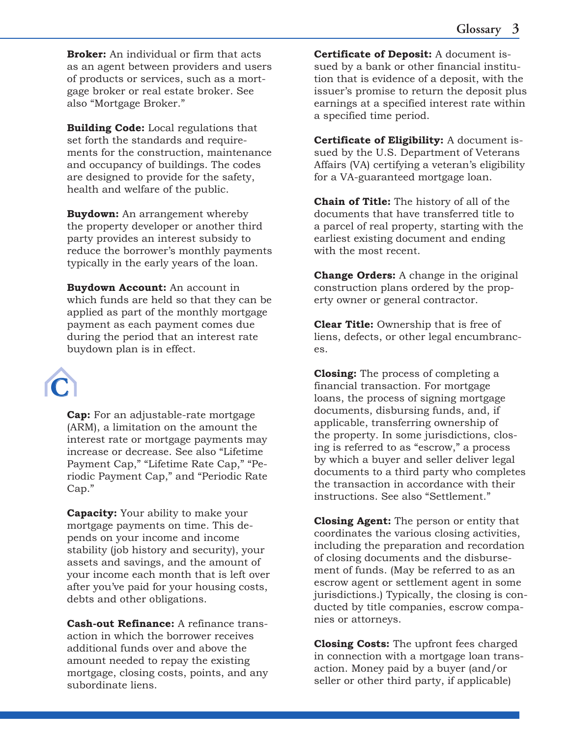**Broker:** An individual or firm that acts as an agent between providers and users of products or services, such as a mortgage broker or real estate broker. See also "Mortgage Broker."

**Building Code:** Local regulations that set forth the standards and requirements for the construction, maintenance and occupancy of buildings. The codes are designed to provide for the safety, health and welfare of the public.

**Buydown:** An arrangement whereby the property developer or another third party provides an interest subsidy to reduce the borrower's monthly payments typically in the early years of the loan.

**Buydown Account:** An account in which funds are held so that they can be applied as part of the monthly mortgage payment as each payment comes due during the period that an interest rate buydown plan is in effect.

# **C**

**Cap:** For an adjustable-rate mortgage (ARM), a limitation on the amount the interest rate or mortgage payments may increase or decrease. See also "Lifetime Payment Cap," "Lifetime Rate Cap," "Periodic Payment Cap," and "Periodic Rate Cap."

**Capacity:** Your ability to make your mortgage payments on time. This depends on your income and income stability (job history and security), your assets and savings, and the amount of your income each month that is left over after you've paid for your housing costs, debts and other obligations.

**Cash-out Refinance:** A refinance transaction in which the borrower receives additional funds over and above the amount needed to repay the existing mortgage, closing costs, points, and any subordinate liens.

**Certificate of Deposit:** A document issued by a bank or other financial institution that is evidence of a deposit, with the issuer's promise to return the deposit plus earnings at a specified interest rate within a specified time period.

**Certificate of Eligibility:** A document issued by the U.S. Department of Veterans Affairs (VA) certifying a veteran's eligibility for a VA-guaranteed mortgage loan.

**Chain of Title:** The history of all of the documents that have transferred title to a parcel of real property, starting with the earliest existing document and ending with the most recent.

**Change Orders:** A change in the original construction plans ordered by the property owner or general contractor.

**Clear Title:** Ownership that is free of liens, defects, or other legal encumbrances.

**Closing:** The process of completing a financial transaction. For mortgage loans, the process of signing mortgage documents, disbursing funds, and, if applicable, transferring ownership of the property. In some jurisdictions, closing is referred to as "escrow," a process by which a buyer and seller deliver legal documents to a third party who completes the transaction in accordance with their instructions. See also "Settlement."

**Closing Agent:** The person or entity that coordinates the various closing activities, including the preparation and recordation of closing documents and the disbursement of funds. (May be referred to as an escrow agent or settlement agent in some jurisdictions.) Typically, the closing is conducted by title companies, escrow companies or attorneys.

**Closing Costs:** The upfront fees charged in connection with a mortgage loan transaction. Money paid by a buyer (and/or seller or other third party, if applicable)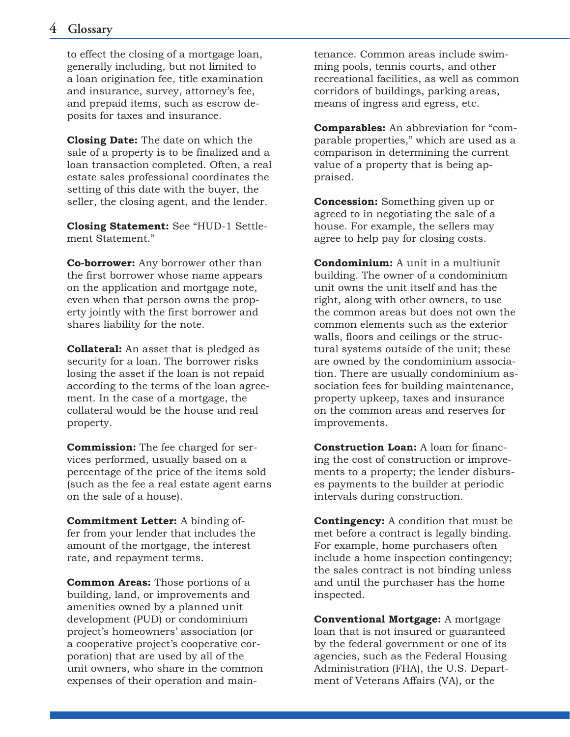to effect the closing of a mortgage loan, generally including, but not limited to a loan origination fee, title examination and insurance, survey, attorney's fee, and prepaid items, such as escrow deposits for taxes and insurance.

**Closing Date:** The date on which the sale of a property is to be finalized and a loan transaction completed. Often, a real estate sales professional coordinates the setting of this date with the buyer, the seller, the closing agent, and the lender.

**Closing Statement:** See "HUD-1 Settlement Statement."

**Co-borrower:** Any borrower other than the first borrower whose name appears on the application and mortgage note, even when that person owns the property jointly with the first borrower and shares liability for the note.

**Collateral:** An asset that is pledged as security for a loan. The borrower risks losing the asset if the loan is not repaid according to the terms of the loan agreement. In the case of a mortgage, the collateral would be the house and real property.

**Commission:** The fee charged for services performed, usually based on a percentage of the price of the items sold (such as the fee a real estate agent earns on the sale of a house).

**Commitment Letter:** A binding offer from your lender that includes the amount of the mortgage, the interest rate, and repayment terms.

**Common Areas:** Those portions of a building, land, or improvements and amenities owned by a planned unit development (PUD) or condominium project's homeowners' association (or a cooperative project's cooperative corporation) that are used by all of the unit owners, who share in the common expenses of their operation and main-

tenance. Common areas include swimming pools, tennis courts, and other recreational facilities, as well as common corridors of buildings, parking areas, means of ingress and egress, etc.

**Comparables:** An abbreviation for "comparable properties," which are used as a comparison in determining the current value of a property that is being appraised.

**Concession:** Something given up or agreed to in negotiating the sale of a house. For example, the sellers may agree to help pay for closing costs.

**Condominium:** A unit in a multiunit building. The owner of a condominium unit owns the unit itself and has the right, along with other owners, to use the common areas but does not own the common elements such as the exterior walls, floors and ceilings or the structural systems outside of the unit; these are owned by the condominium association. There are usually condominium association fees for building maintenance, property upkeep, taxes and insurance on the common areas and reserves for improvements.

**Construction Loan:** A loan for financing the cost of construction or improvements to a property; the lender disburses payments to the builder at periodic intervals during construction.

**Contingency:** A condition that must be met before a contract is legally binding. For example, home purchasers often include a home inspection contingency; the sales contract is not binding unless and until the purchaser has the home inspected.

**Conventional Mortgage:** A mortgage loan that is not insured or guaranteed by the federal government or one of its agencies, such as the Federal Housing Administration (FHA), the U.S. Department of Veterans Affairs (VA), or the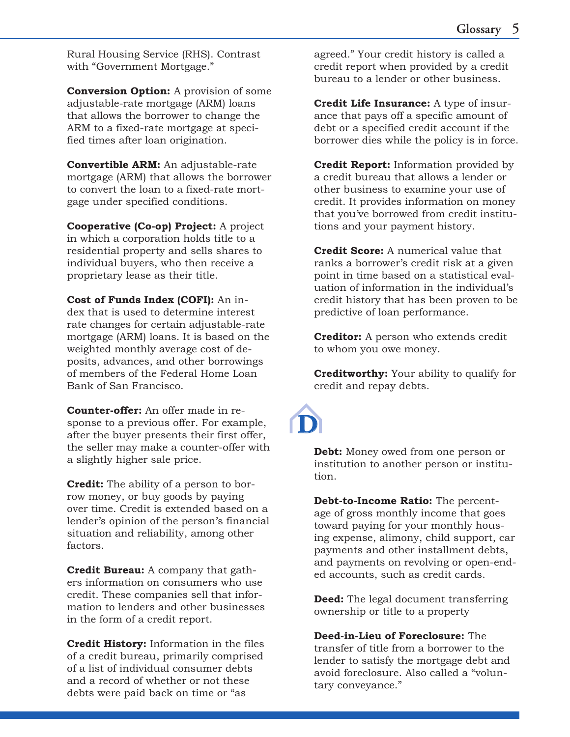Rural Housing Service (RHS). Contrast with "Government Mortgage."

**Conversion Option:** A provision of some adjustable-rate mortgage (ARM) loans that allows the borrower to change the ARM to a fixed-rate mortgage at specified times after loan origination.

**Convertible ARM:** An adjustable-rate mortgage (ARM) that allows the borrower to convert the loan to a fixed-rate mortgage under specified conditions.

**Cooperative (Co-op) Project:** A project in which a corporation holds title to a residential property and sells shares to individual buyers, who then receive a proprietary lease as their title.

**Cost of Funds Index (COFI):** An index that is used to determine interest rate changes for certain adjustable-rate mortgage (ARM) loans. It is based on the weighted monthly average cost of deposits, advances, and other borrowings of members of the Federal Home Loan Bank of San Francisco.

**Counter-offer:** An offer made in response to a previous offer. For example, after the buyer presents their first offer, the seller may make a counter-offer with a slightly higher sale price.

**Credit:** The ability of a person to borrow money, or buy goods by paying over time. Credit is extended based on a lender's opinion of the person's financial situation and reliability, among other factors.

**Credit Bureau:** A company that gathers information on consumers who use credit. These companies sell that information to lenders and other businesses in the form of a credit report.

**Credit History:** Information in the files of a credit bureau, primarily comprised of a list of individual consumer debts and a record of whether or not these debts were paid back on time or "as

agreed." Your credit history is called a credit report when provided by a credit bureau to a lender or other business.

**Credit Life Insurance:** A type of insurance that pays off a specific amount of debt or a specified credit account if the borrower dies while the policy is in force.

**Credit Report:** Information provided by a credit bureau that allows a lender or other business to examine your use of credit. It provides information on money that you've borrowed from credit institutions and your payment history.

**Credit Score:** A numerical value that ranks a borrower's credit risk at a given point in time based on a statistical evaluation of information in the individual's credit history that has been proven to be predictive of loan performance.

**Creditor:** A person who extends credit to whom you owe money.

**Creditworthy:** Your ability to qualify for credit and repay debts.

**D**

**Debt:** Money owed from one person or institution to another person or institution.

**Debt-to-Income Ratio:** The percentage of gross monthly income that goes toward paying for your monthly housing expense, alimony, child support, car payments and other installment debts, and payments on revolving or open-ended accounts, such as credit cards.

**Deed:** The legal document transferring ownership or title to a property

**Deed-in-Lieu of Foreclosure:** The transfer of title from a borrower to the lender to satisfy the mortgage debt and avoid foreclosure. Also called a "voluntary conveyance."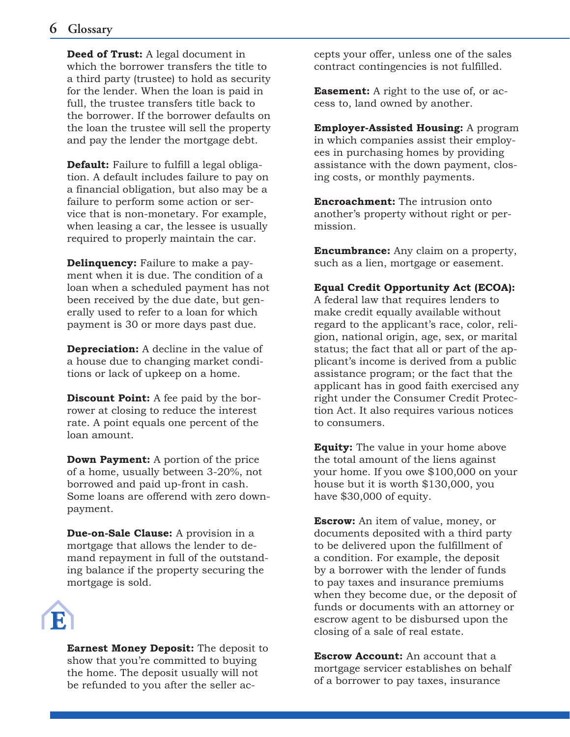**Deed of Trust:** A legal document in which the borrower transfers the title to a third party (trustee) to hold as security for the lender. When the loan is paid in full, the trustee transfers title back to the borrower. If the borrower defaults on the loan the trustee will sell the property and pay the lender the mortgage debt.

**Default:** Failure to fulfill a legal obligation. A default includes failure to pay on a financial obligation, but also may be a failure to perform some action or service that is non-monetary. For example, when leasing a car, the lessee is usually required to properly maintain the car.

**Delinquency:** Failure to make a payment when it is due. The condition of a loan when a scheduled payment has not been received by the due date, but generally used to refer to a loan for which payment is 30 or more days past due.

**Depreciation:** A decline in the value of a house due to changing market conditions or lack of upkeep on a home.

**Discount Point:** A fee paid by the borrower at closing to reduce the interest rate. A point equals one percent of the loan amount.

**Down Payment:** A portion of the price of a home, usually between 3-20%, not borrowed and paid up-front in cash. Some loans are offerend with zero downpayment.

**Due-on-Sale Clause:** A provision in a mortgage that allows the lender to demand repayment in full of the outstanding balance if the property securing the mortgage is sold.



**Earnest Money Deposit:** The deposit to show that you're committed to buying the home. The deposit usually will not be refunded to you after the seller accepts your offer, unless one of the sales contract contingencies is not fulfilled.

**Easement:** A right to the use of, or access to, land owned by another.

**Employer-Assisted Housing:** A program in which companies assist their employees in purchasing homes by providing assistance with the down payment, closing costs, or monthly payments.

**Encroachment:** The intrusion onto another's property without right or permission.

**Encumbrance:** Any claim on a property, such as a lien, mortgage or easement.

#### **Equal Credit Opportunity Act (ECOA):**

A federal law that requires lenders to make credit equally available without regard to the applicant's race, color, religion, national origin, age, sex, or marital status; the fact that all or part of the applicant's income is derived from a public assistance program; or the fact that the applicant has in good faith exercised any right under the Consumer Credit Protection Act. It also requires various notices to consumers.

**Equity:** The value in your home above the total amount of the liens against your home. If you owe \$100,000 on your house but it is worth \$130,000, you have \$30,000 of equity.

**Escrow:** An item of value, money, or documents deposited with a third party to be delivered upon the fulfillment of a condition. For example, the deposit by a borrower with the lender of funds to pay taxes and insurance premiums when they become due, or the deposit of funds or documents with an attorney or escrow agent to be disbursed upon the closing of a sale of real estate.

**Escrow Account:** An account that a mortgage servicer establishes on behalf of a borrower to pay taxes, insurance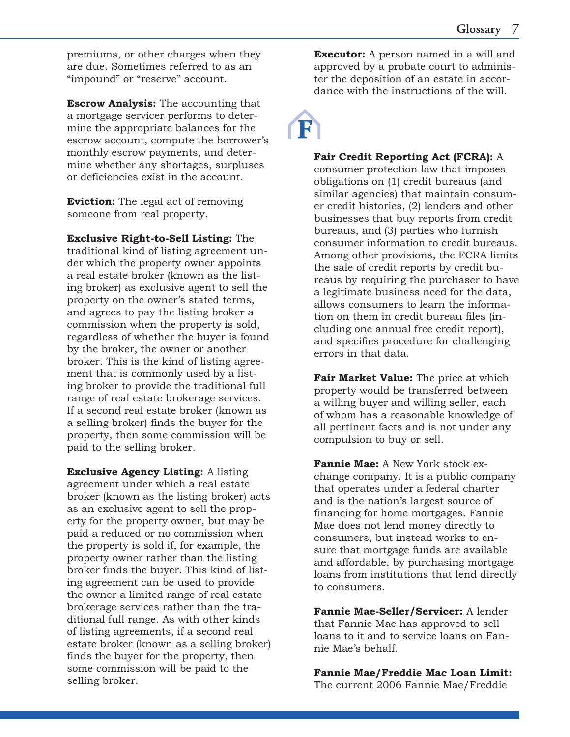premiums, or other charges when they are due. Sometimes referred to as an "impound" or "reserve" account.

**Escrow Analysis:** The accounting that a mortgage servicer performs to determine the appropriate balances for the escrow account, compute the borrower's monthly escrow payments, and determine whether any shortages, surpluses or deficiencies exist in the account.

**Eviction:** The legal act of removing someone from real property.

**Exclusive Right-to-Sell Listing:** The traditional kind of listing agreement under which the property owner appoints a real estate broker (known as the listing broker) as exclusive agent to sell the property on the owner's stated terms, and agrees to pay the listing broker a commission when the property is sold, regardless of whether the buyer is found by the broker, the owner or another broker. This is the kind of listing agreement that is commonly used by a listing broker to provide the traditional full range of real estate brokerage services. If a second real estate broker (known as a selling broker) finds the buyer for the property, then some commission will be paid to the selling broker.

**Exclusive Agency Listing:** A listing agreement under which a real estate broker (known as the listing broker) acts as an exclusive agent to sell the property for the property owner, but may be paid a reduced or no commission when the property is sold if, for example, the property owner rather than the listing broker finds the buyer. This kind of listing agreement can be used to provide the owner a limited range of real estate brokerage services rather than the traditional full range. As with other kinds of listing agreements, if a second real estate broker (known as a selling broker) finds the buyer for the property, then some commission will be paid to the selling broker.

**Executor:** A person named in a will and approved by a probate court to administer the deposition of an estate in accordance with the instructions of the will.

# **F**

#### **Fair Credit Reporting Act (FCRA):** A

consumer protection law that imposes obligations on (1) credit bureaus (and similar agencies) that maintain consumer credit histories, (2) lenders and other businesses that buy reports from credit bureaus, and (3) parties who furnish consumer information to credit bureaus. Among other provisions, the FCRA limits the sale of credit reports by credit bureaus by requiring the purchaser to have a legitimate business need for the data, allows consumers to learn the information on them in credit bureau files (including one annual free credit report), and specifies procedure for challenging errors in that data.

**Fair Market Value:** The price at which property would be transferred between a willing buyer and willing seller, each of whom has a reasonable knowledge of all pertinent facts and is not under any compulsion to buy or sell.

**Fannie Mae:** A New York stock exchange company. It is a public company that operates under a federal charter and is the nation's largest source of financing for home mortgages. Fannie Mae does not lend money directly to consumers, but instead works to ensure that mortgage funds are available and affordable, by purchasing mortgage loans from institutions that lend directly to consumers.

**Fannie Mae-Seller/Servicer:** A lender that Fannie Mae has approved to sell loans to it and to service loans on Fannie Mae's behalf.

**Fannie Mae/Freddie Mac Loan Limit:**  The current 2006 Fannie Mae/Freddie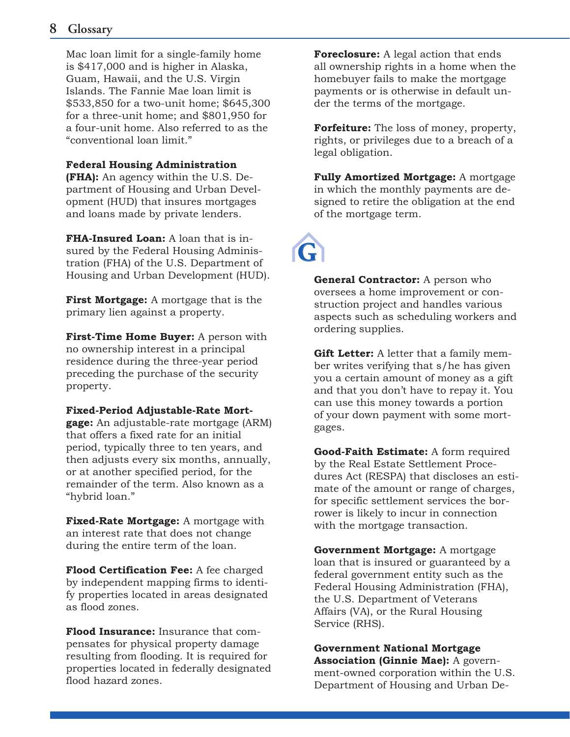Mac loan limit for a single-family home is \$417,000 and is higher in Alaska, Guam, Hawaii, and the U.S. Virgin Islands. The Fannie Mae loan limit is \$533,850 for a two-unit home; \$645,300 for a three-unit home; and \$801,950 for a four-unit home. Also referred to as the "conventional loan limit."

#### **Federal Housing Administration**

**(FHA):** An agency within the U.S. Department of Housing and Urban Development (HUD) that insures mortgages and loans made by private lenders.

**FHA-Insured Loan:** A loan that is insured by the Federal Housing Administration (FHA) of the U.S. Department of Housing and Urban Development (HUD).

**First Mortgage:** A mortgage that is the primary lien against a property.

**First-Time Home Buyer:** A person with no ownership interest in a principal residence during the three-year period preceding the purchase of the security property.

#### **Fixed-Period Adjustable-Rate Mort-**

**gage:** An adjustable-rate mortgage (ARM) that offers a fixed rate for an initial period, typically three to ten years, and then adjusts every six months, annually, or at another specified period, for the remainder of the term. Also known as a "hybrid loan."

**Fixed-Rate Mortgage:** A mortgage with an interest rate that does not change during the entire term of the loan.

**Flood Certification Fee:** A fee charged by independent mapping firms to identify properties located in areas designated as flood zones.

**Flood Insurance:** Insurance that compensates for physical property damage resulting from flooding. It is required for properties located in federally designated flood hazard zones.

**Foreclosure:** A legal action that ends all ownership rights in a home when the homebuyer fails to make the mortgage payments or is otherwise in default under the terms of the mortgage.

**Forfeiture:** The loss of money, property, rights, or privileges due to a breach of a legal obligation.

**Fully Amortized Mortgage:** A mortgage in which the monthly payments are designed to retire the obligation at the end of the mortgage term.



**General Contractor:** A person who oversees a home improvement or construction project and handles various aspects such as scheduling workers and ordering supplies.

**Gift Letter:** A letter that a family member writes verifying that s/he has given you a certain amount of money as a gift and that you don't have to repay it. You can use this money towards a portion of your down payment with some mortgages.

**Good-Faith Estimate:** A form required by the Real Estate Settlement Procedures Act (RESPA) that discloses an estimate of the amount or range of charges, for specific settlement services the borrower is likely to incur in connection with the mortgage transaction.

**Government Mortgage:** A mortgage loan that is insured or guaranteed by a federal government entity such as the Federal Housing Administration (FHA), the U.S. Department of Veterans Affairs (VA), or the Rural Housing Service (RHS).

**Government National Mortgage Association (Ginnie Mae):** A government-owned corporation within the U.S. Department of Housing and Urban De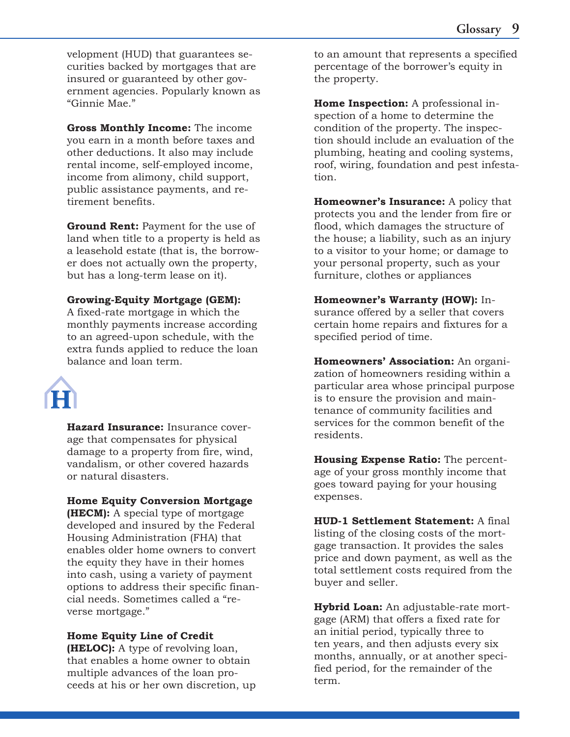velopment (HUD) that guarantees securities backed by mortgages that are insured or guaranteed by other government agencies. Popularly known as "Ginnie Mae."

**Gross Monthly Income:** The income you earn in a month before taxes and other deductions. It also may include rental income, self-employed income, income from alimony, child support, public assistance payments, and retirement benefits.

**Ground Rent:** Payment for the use of land when title to a property is held as a leasehold estate (that is, the borrower does not actually own the property, but has a long-term lease on it).

#### **Growing-Equity Mortgage (GEM):**

A fixed-rate mortgage in which the monthly payments increase according to an agreed-upon schedule, with the extra funds applied to reduce the loan balance and loan term.



**Hazard Insurance:** Insurance coverage that compensates for physical damage to a property from fire, wind, vandalism, or other covered hazards or natural disasters.

#### **Home Equity Conversion Mortgage**

**(HECM):** A special type of mortgage developed and insured by the Federal Housing Administration (FHA) that enables older home owners to convert the equity they have in their homes into cash, using a variety of payment options to address their specific financial needs. Sometimes called a "reverse mortgage."

#### **Home Equity Line of Credit**

**(HELOC):** A type of revolving loan, that enables a home owner to obtain multiple advances of the loan proceeds at his or her own discretion, up to an amount that represents a specified percentage of the borrower's equity in the property.

**Home Inspection:** A professional inspection of a home to determine the condition of the property. The inspection should include an evaluation of the plumbing, heating and cooling systems, roof, wiring, foundation and pest infestation.

**Homeowner's Insurance:** A policy that protects you and the lender from fire or flood, which damages the structure of the house; a liability, such as an injury to a visitor to your home; or damage to your personal property, such as your furniture, clothes or appliances

**Homeowner's Warranty (HOW):** Insurance offered by a seller that covers certain home repairs and fixtures for a specified period of time.

**Homeowners' Association:** An organization of homeowners residing within a particular area whose principal purpose is to ensure the provision and maintenance of community facilities and services for the common benefit of the residents.

**Housing Expense Ratio:** The percentage of your gross monthly income that goes toward paying for your housing expenses.

**HUD-1 Settlement Statement:** A final listing of the closing costs of the mortgage transaction. It provides the sales price and down payment, as well as the total settlement costs required from the buyer and seller.

**Hybrid Loan:** An adjustable-rate mortgage (ARM) that offers a fixed rate for an initial period, typically three to ten years, and then adjusts every six months, annually, or at another specified period, for the remainder of the term.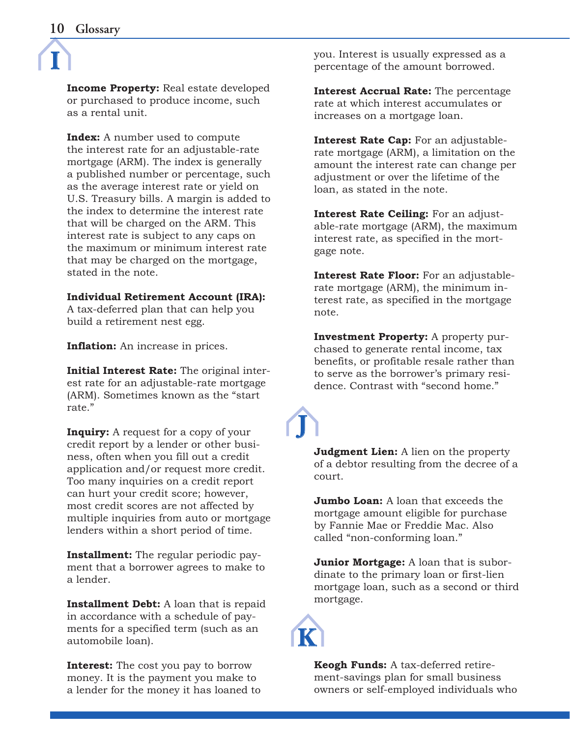# **I**

**Income Property:** Real estate developed or purchased to produce income, such as a rental unit.

**Index:** A number used to compute the interest rate for an adjustable-rate mortgage (ARM). The index is generally a published number or percentage, such as the average interest rate or yield on U.S. Treasury bills. A margin is added to the index to determine the interest rate that will be charged on the ARM. This interest rate is subject to any caps on the maximum or minimum interest rate that may be charged on the mortgage, stated in the note.

#### **Individual Retirement Account (IRA):**

A tax-deferred plan that can help you build a retirement nest egg.

**Inflation:** An increase in prices.

**Initial Interest Rate:** The original interest rate for an adjustable-rate mortgage (ARM). Sometimes known as the "start rate."

**Inquiry:** A request for a copy of your credit report by a lender or other business, often when you fill out a credit application and/or request more credit. Too many inquiries on a credit report can hurt your credit score; however, most credit scores are not affected by multiple inquiries from auto or mortgage lenders within a short period of time.

**Installment:** The regular periodic payment that a borrower agrees to make to a lender.

**Installment Debt:** A loan that is repaid in accordance with a schedule of payments for a specified term (such as an automobile loan).

**Interest:** The cost you pay to borrow **Keogh Funds:** A tax-deferred retiremoney. It is the payment you make to ment-savings plan for small business

you. Interest is usually expressed as a percentage of the amount borrowed.

**Interest Accrual Rate:** The percentage rate at which interest accumulates or increases on a mortgage loan.

**Interest Rate Cap:** For an adjustablerate mortgage (ARM), a limitation on the amount the interest rate can change per adjustment or over the lifetime of the loan, as stated in the note.

**Interest Rate Ceiling:** For an adjustable-rate mortgage (ARM), the maximum interest rate, as specified in the mortgage note.

**Interest Rate Floor:** For an adjustablerate mortgage (ARM), the minimum interest rate, as specified in the mortgage note.

**Investment Property:** A property purchased to generate rental income, tax benefits, or profitable resale rather than to serve as the borrower's primary residence. Contrast with "second home."

**Judgment Lien:** A lien on the property of a debtor resulting from the decree of a court.

**Jumbo Loan:** A loan that exceeds the mortgage amount eligible for purchase by Fannie Mae or Freddie Mac. Also called "non-conforming loan."

**Junior Mortgage:** A loan that is subordinate to the primary loan or first-lien mortgage loan, such as a second or third mortgage.



**J**

a lender for the money it has loaned to owners or self-employed individuals who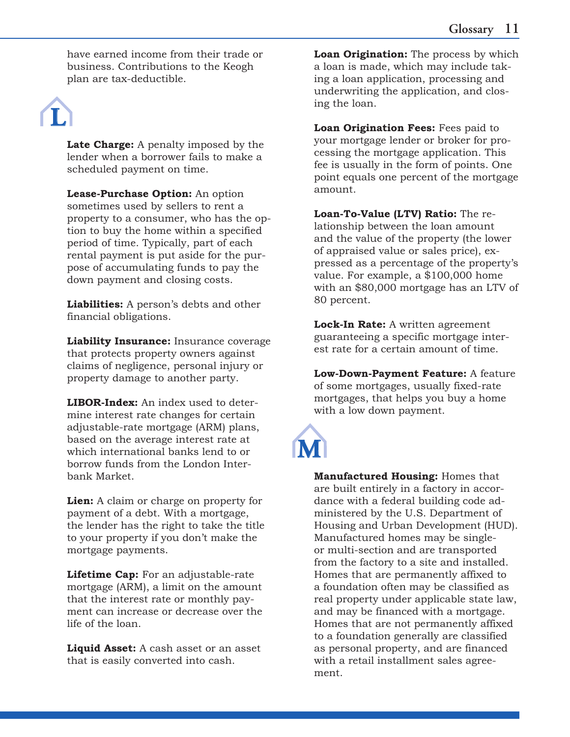have earned income from their trade or business. Contributions to the Keogh plan are tax-deductible.

# **L**

**Late Charge:** A penalty imposed by the lender when a borrower fails to make a scheduled payment on time.

**Lease-Purchase Option:** An option sometimes used by sellers to rent a property to a consumer, who has the option to buy the home within a specified period of time. Typically, part of each rental payment is put aside for the purpose of accumulating funds to pay the down payment and closing costs.

**Liabilities:** A person's debts and other financial obligations.

**Liability Insurance:** Insurance coverage that protects property owners against claims of negligence, personal injury or property damage to another party.

**LIBOR-Index:** An index used to determine interest rate changes for certain adjustable-rate mortgage (ARM) plans, based on the average interest rate at which international banks lend to or borrow funds from the London Interbank Market.

**Lien:** A claim or charge on property for payment of a debt. With a mortgage, the lender has the right to take the title to your property if you don't make the mortgage payments.

**Lifetime Cap:** For an adjustable-rate mortgage (ARM), a limit on the amount that the interest rate or monthly payment can increase or decrease over the life of the loan.

**Liquid Asset:** A cash asset or an asset that is easily converted into cash.

**Loan Origination:** The process by which a loan is made, which may include taking a loan application, processing and underwriting the application, and closing the loan.

Loan Origination Fees: Fees paid to your mortgage lender or broker for processing the mortgage application. This fee is usually in the form of points. One point equals one percent of the mortgage amount.

**Loan-To-Value (LTV) Ratio:** The relationship between the loan amount and the value of the property (the lower of appraised value or sales price), expressed as a percentage of the property's value. For example, a \$100,000 home with an \$80,000 mortgage has an LTV of 80 percent.

**Lock-In Rate:** A written agreement guaranteeing a specific mortgage interest rate for a certain amount of time.

**Low-Down-Payment Feature:** A feature of some mortgages, usually fixed-rate mortgages, that helps you buy a home with a low down payment.



**Manufactured Housing:** Homes that are built entirely in a factory in accordance with a federal building code administered by the U.S. Department of Housing and Urban Development (HUD). Manufactured homes may be singleor multi-section and are transported from the factory to a site and installed. Homes that are permanently affixed to a foundation often may be classified as real property under applicable state law, and may be financed with a mortgage. Homes that are not permanently affixed to a foundation generally are classified as personal property, and are financed with a retail installment sales agreement.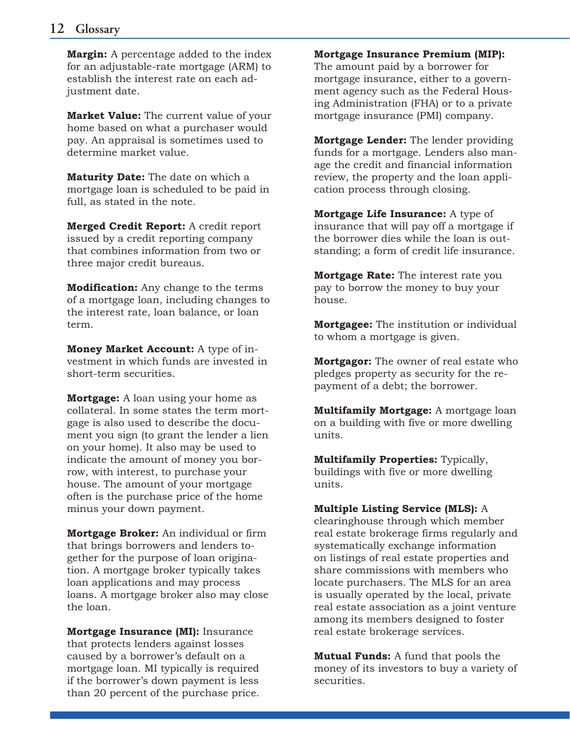**Margin:** A percentage added to the index for an adjustable-rate mortgage (ARM) to establish the interest rate on each adjustment date.

**Market Value:** The current value of your home based on what a purchaser would pay. An appraisal is sometimes used to determine market value.

**Maturity Date:** The date on which a mortgage loan is scheduled to be paid in full, as stated in the note.

**Merged Credit Report:** A credit report issued by a credit reporting company that combines information from two or three major credit bureaus.

**Modification:** Any change to the terms of a mortgage loan, including changes to the interest rate, loan balance, or loan term.

**Money Market Account:** A type of investment in which funds are invested in short-term securities.

**Mortgage:** A loan using your home as collateral. In some states the term mortgage is also used to describe the document you sign (to grant the lender a lien on your home). It also may be used to indicate the amount of money you borrow, with interest, to purchase your house. The amount of your mortgage often is the purchase price of the home minus your down payment.

**Mortgage Broker:** An individual or firm that brings borrowers and lenders together for the purpose of loan origination. A mortgage broker typically takes loan applications and may process loans. A mortgage broker also may close the loan.

**Mortgage Insurance (MI):** Insurance that protects lenders against losses caused by a borrower's default on a mortgage loan. MI typically is required if the borrower's down payment is less than 20 percent of the purchase price.

#### **Mortgage Insurance Premium (MIP):**

The amount paid by a borrower for mortgage insurance, either to a government agency such as the Federal Housing Administration (FHA) or to a private mortgage insurance (PMI) company.

**Mortgage Lender:** The lender providing funds for a mortgage. Lenders also manage the credit and financial information review, the property and the loan application process through closing.

**Mortgage Life Insurance:** A type of insurance that will pay off a mortgage if the borrower dies while the loan is outstanding; a form of credit life insurance.

**Mortgage Rate:** The interest rate you pay to borrow the money to buy your house.

**Mortgagee:** The institution or individual to whom a mortgage is given.

**Mortgagor:** The owner of real estate who pledges property as security for the repayment of a debt; the borrower.

**Multifamily Mortgage:** A mortgage loan on a building with five or more dwelling units.

**Multifamily Properties:** Typically, buildings with five or more dwelling units.

**Multiple Listing Service (MLS):** A clearinghouse through which member real estate brokerage firms regularly and systematically exchange information on listings of real estate properties and share commissions with members who locate purchasers. The MLS for an area is usually operated by the local, private real estate association as a joint venture among its members designed to foster real estate brokerage services.

**Mutual Funds:** A fund that pools the money of its investors to buy a variety of securities.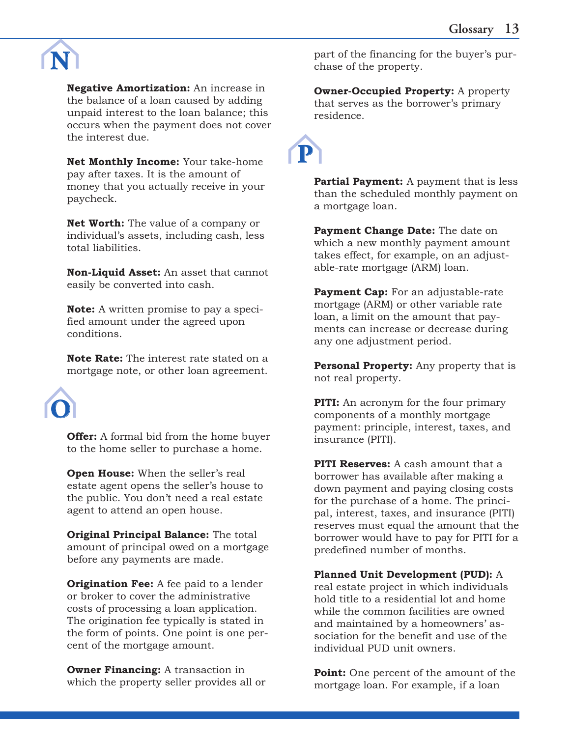# **N**

**Negative Amortization:** An increase in the balance of a loan caused by adding unpaid interest to the loan balance; this occurs when the payment does not cover the interest due.

**Net Monthly Income:** Your take-home pay after taxes. It is the amount of money that you actually receive in your paycheck.

**Net Worth:** The value of a company or individual's assets, including cash, less total liabilities.

**Non-Liquid Asset:** An asset that cannot easily be converted into cash.

**Note:** A written promise to pay a specified amount under the agreed upon conditions.

**Note Rate:** The interest rate stated on a mortgage note, or other loan agreement.

# **O**

**Offer:** A formal bid from the home buyer to the home seller to purchase a home.

**Open House:** When the seller's real estate agent opens the seller's house to the public. You don't need a real estate agent to attend an open house.

**Original Principal Balance:** The total amount of principal owed on a mortgage before any payments are made.

**Origination Fee:** A fee paid to a lender or broker to cover the administrative costs of processing a loan application. The origination fee typically is stated in the form of points. One point is one percent of the mortgage amount.

**Owner Financing:** A transaction in which the property seller provides all or part of the financing for the buyer's purchase of the property.

**Owner-Occupied Property:** A property that serves as the borrower's primary residence.



**Partial Payment:** A payment that is less than the scheduled monthly payment on a mortgage loan.

**Payment Change Date:** The date on which a new monthly payment amount takes effect, for example, on an adjustable-rate mortgage (ARM) loan.

**Payment Cap:** For an adjustable-rate mortgage (ARM) or other variable rate loan, a limit on the amount that payments can increase or decrease during any one adjustment period.

**Personal Property:** Any property that is not real property.

**PITI:** An acronym for the four primary components of a monthly mortgage payment: principle, interest, taxes, and insurance (PITI).

**PITI Reserves:** A cash amount that a borrower has available after making a down payment and paying closing costs for the purchase of a home. The principal, interest, taxes, and insurance (PITI) reserves must equal the amount that the borrower would have to pay for PITI for a predefined number of months.

**Planned Unit Development (PUD):** A real estate project in which individuals hold title to a residential lot and home while the common facilities are owned and maintained by a homeowners' association for the benefit and use of the individual PUD unit owners.

**Point:** One percent of the amount of the mortgage loan. For example, if a loan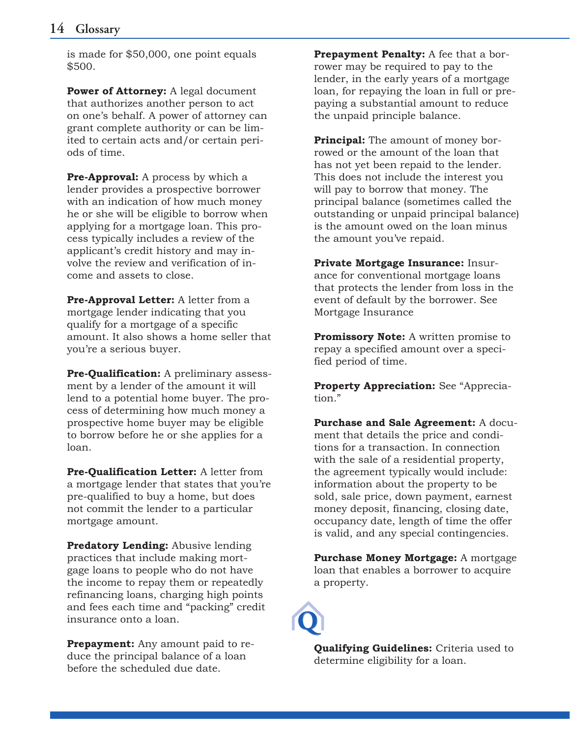is made for \$50,000, one point equals \$500.

**Power of Attorney:** A legal document that authorizes another person to act on one's behalf. A power of attorney can grant complete authority or can be limited to certain acts and/or certain periods of time.

**Pre-Approval:** A process by which a lender provides a prospective borrower with an indication of how much money he or she will be eligible to borrow when applying for a mortgage loan. This process typically includes a review of the applicant's credit history and may involve the review and verification of income and assets to close.

**Pre-Approval Letter:** A letter from a mortgage lender indicating that you qualify for a mortgage of a specific amount. It also shows a home seller that you're a serious buyer.

**Pre-Qualification:** A preliminary assessment by a lender of the amount it will lend to a potential home buyer. The process of determining how much money a prospective home buyer may be eligible to borrow before he or she applies for a loan.

**Pre-Qualification Letter:** A letter from a mortgage lender that states that you're pre-qualified to buy a home, but does not commit the lender to a particular mortgage amount.

**Predatory Lending:** Abusive lending practices that include making mortgage loans to people who do not have the income to repay them or repeatedly refinancing loans, charging high points and fees each time and "packing" credit insurance onto a loan.

**Prepayment:** Any amount paid to reduce the principal balance of a loan before the scheduled due date.

**Prepayment Penalty:** A fee that a borrower may be required to pay to the lender, in the early years of a mortgage loan, for repaying the loan in full or prepaying a substantial amount to reduce the unpaid principle balance.

**Principal:** The amount of money borrowed or the amount of the loan that has not yet been repaid to the lender. This does not include the interest you will pay to borrow that money. The principal balance (sometimes called the outstanding or unpaid principal balance) is the amount owed on the loan minus the amount you've repaid.

**Private Mortgage Insurance:** Insurance for conventional mortgage loans that protects the lender from loss in the event of default by the borrower. See Mortgage Insurance

**Promissory Note:** A written promise to repay a specified amount over a specified period of time.

**Property Appreciation:** See "Appreciation."

**Purchase and Sale Agreement:** A document that details the price and conditions for a transaction. In connection with the sale of a residential property, the agreement typically would include: information about the property to be sold, sale price, down payment, earnest money deposit, financing, closing date, occupancy date, length of time the offer is valid, and any special contingencies.

**Purchase Money Mortgage:** A mortgage loan that enables a borrower to acquire a property.

**Q**

**Qualifying Guidelines:** Criteria used to determine eligibility for a loan.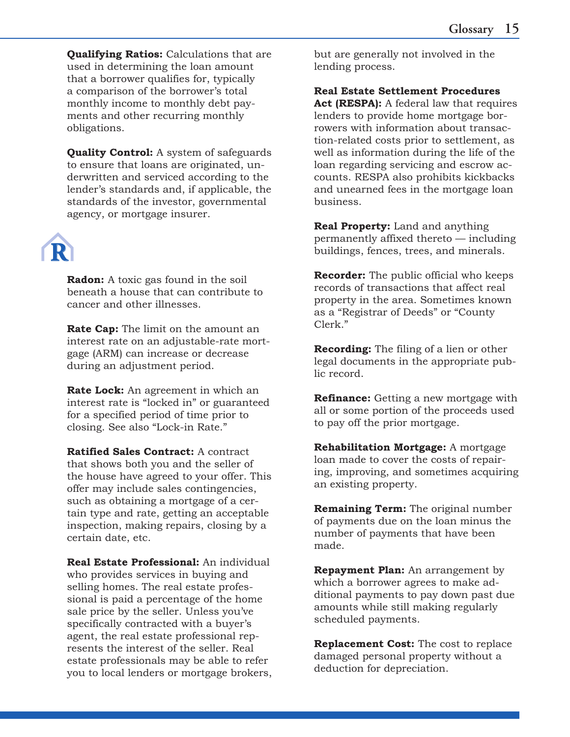**Qualifying Ratios:** Calculations that are used in determining the loan amount that a borrower qualifies for, typically a comparison of the borrower's total monthly income to monthly debt payments and other recurring monthly obligations.

**Quality Control:** A system of safeguards to ensure that loans are originated, underwritten and serviced according to the lender's standards and, if applicable, the standards of the investor, governmental agency, or mortgage insurer.



**Radon:** A toxic gas found in the soil beneath a house that can contribute to cancer and other illnesses.

**Rate Cap:** The limit on the amount an interest rate on an adjustable-rate mortgage (ARM) can increase or decrease during an adjustment period.

**Rate Lock:** An agreement in which an interest rate is "locked in" or guaranteed for a specified period of time prior to closing. See also "Lock-in Rate."

**Ratified Sales Contract:** A contract that shows both you and the seller of the house have agreed to your offer. This offer may include sales contingencies, such as obtaining a mortgage of a certain type and rate, getting an acceptable inspection, making repairs, closing by a certain date, etc.

**Real Estate Professional:** An individual who provides services in buying and selling homes. The real estate professional is paid a percentage of the home sale price by the seller. Unless you've specifically contracted with a buyer's agent, the real estate professional represents the interest of the seller. Real estate professionals may be able to refer you to local lenders or mortgage brokers, but are generally not involved in the lending process.

**Real Estate Settlement Procedures** 

**Act (RESPA):** A federal law that requires lenders to provide home mortgage borrowers with information about transaction-related costs prior to settlement, as well as information during the life of the loan regarding servicing and escrow accounts. RESPA also prohibits kickbacks and unearned fees in the mortgage loan business.

**Real Property:** Land and anything permanently affixed thereto — including buildings, fences, trees, and minerals.

**Recorder:** The public official who keeps records of transactions that affect real property in the area. Sometimes known as a "Registrar of Deeds" or "County Clerk."

**Recording:** The filing of a lien or other legal documents in the appropriate public record.

**Refinance:** Getting a new mortgage with all or some portion of the proceeds used to pay off the prior mortgage.

**Rehabilitation Mortgage:** A mortgage loan made to cover the costs of repairing, improving, and sometimes acquiring an existing property.

**Remaining Term:** The original number of payments due on the loan minus the number of payments that have been made.

**Repayment Plan:** An arrangement by which a borrower agrees to make additional payments to pay down past due amounts while still making regularly scheduled payments.

**Replacement Cost:** The cost to replace damaged personal property without a deduction for depreciation.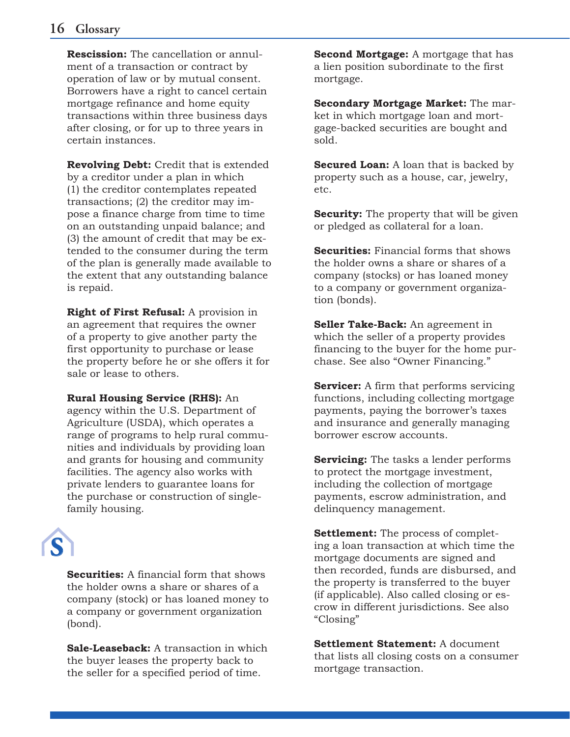**Rescission:** The cancellation or annulment of a transaction or contract by operation of law or by mutual consent. Borrowers have a right to cancel certain mortgage refinance and home equity transactions within three business days after closing, or for up to three years in certain instances.

**Revolving Debt:** Credit that is extended by a creditor under a plan in which (1) the creditor contemplates repeated transactions; (2) the creditor may impose a finance charge from time to time on an outstanding unpaid balance; and (3) the amount of credit that may be extended to the consumer during the term of the plan is generally made available to the extent that any outstanding balance is repaid.

**Right of First Refusal:** A provision in an agreement that requires the owner of a property to give another party the first opportunity to purchase or lease the property before he or she offers it for sale or lease to others.

**Rural Housing Service (RHS):** An agency within the U.S. Department of Agriculture (USDA), which operates a range of programs to help rural communities and individuals by providing loan and grants for housing and community facilities. The agency also works with private lenders to guarantee loans for the purchase or construction of singlefamily housing.



**Securities:** A financial form that shows the holder owns a share or shares of a company (stock) or has loaned money to a company or government organization (bond).

**Sale-Leaseback:** A transaction in which the buyer leases the property back to the seller for a specified period of time.

**Second Mortgage:** A mortgage that has a lien position subordinate to the first mortgage.

**Secondary Mortgage Market:** The market in which mortgage loan and mortgage-backed securities are bought and sold.

**Secured Loan:** A loan that is backed by property such as a house, car, jewelry, etc.

**Security:** The property that will be given or pledged as collateral for a loan.

**Securities:** Financial forms that shows the holder owns a share or shares of a company (stocks) or has loaned money to a company or government organization (bonds).

**Seller Take-Back:** An agreement in which the seller of a property provides financing to the buyer for the home purchase. See also "Owner Financing."

**Servicer:** A firm that performs servicing functions, including collecting mortgage payments, paying the borrower's taxes and insurance and generally managing borrower escrow accounts.

**Servicing:** The tasks a lender performs to protect the mortgage investment, including the collection of mortgage payments, escrow administration, and delinquency management.

**Settlement:** The process of completing a loan transaction at which time the mortgage documents are signed and then recorded, funds are disbursed, and the property is transferred to the buyer (if applicable). Also called closing or escrow in different jurisdictions. See also "Closing"

**Settlement Statement:** A document that lists all closing costs on a consumer mortgage transaction.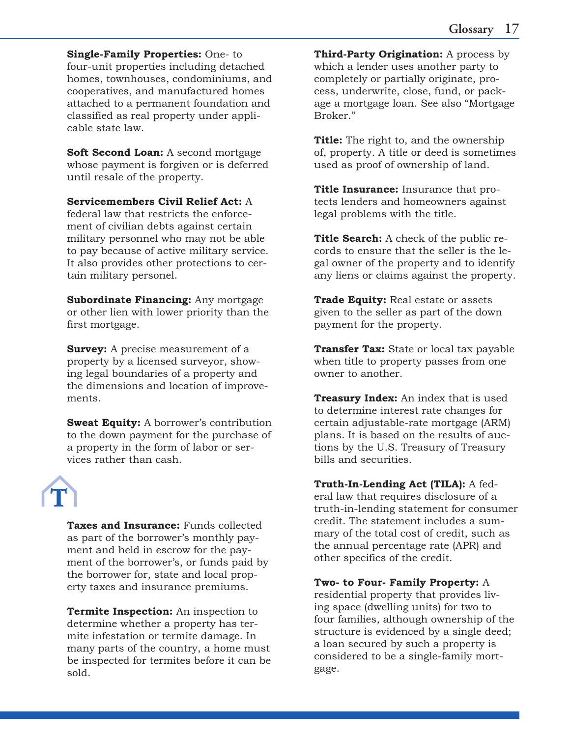**Single-Family Properties:** One- to four-unit properties including detached homes, townhouses, condominiums, and cooperatives, and manufactured homes attached to a permanent foundation and classified as real property under applicable state law.

**Soft Second Loan:** A second mortgage whose payment is forgiven or is deferred until resale of the property.

**Servicemembers Civil Relief Act:** A federal law that restricts the enforcement of civilian debts against certain military personnel who may not be able to pay because of active military service. It also provides other protections to certain military personel.

**Subordinate Financing:** Any mortgage or other lien with lower priority than the first mortgage.

**Survey:** A precise measurement of a property by a licensed surveyor, showing legal boundaries of a property and the dimensions and location of improvements.

**Sweat Equity:** A borrower's contribution to the down payment for the purchase of a property in the form of labor or services rather than cash.



**Taxes and Insurance:** Funds collected as part of the borrower's monthly payment and held in escrow for the payment of the borrower's, or funds paid by the borrower for, state and local property taxes and insurance premiums.

**Termite Inspection:** An inspection to determine whether a property has termite infestation or termite damage. In many parts of the country, a home must be inspected for termites before it can be sold.

**Third-Party Origination:** A process by which a lender uses another party to completely or partially originate, process, underwrite, close, fund, or package a mortgage loan. See also "Mortgage Broker."

**Title:** The right to, and the ownership of, property. A title or deed is sometimes used as proof of ownership of land.

**Title Insurance:** Insurance that protects lenders and homeowners against legal problems with the title.

**Title Search:** A check of the public records to ensure that the seller is the legal owner of the property and to identify any liens or claims against the property.

**Trade Equity:** Real estate or assets given to the seller as part of the down payment for the property.

**Transfer Tax:** State or local tax payable when title to property passes from one owner to another.

**Treasury Index:** An index that is used to determine interest rate changes for certain adjustable-rate mortgage (ARM) plans. It is based on the results of auctions by the U.S. Treasury of Treasury bills and securities.

**Truth-In-Lending Act (TILA):** A federal law that requires disclosure of a truth-in-lending statement for consumer credit. The statement includes a summary of the total cost of credit, such as the annual percentage rate (APR) and other specifics of the credit.

**Two- to Four- Family Property:** A residential property that provides living space (dwelling units) for two to four families, although ownership of the structure is evidenced by a single deed; a loan secured by such a property is considered to be a single-family mortgage.